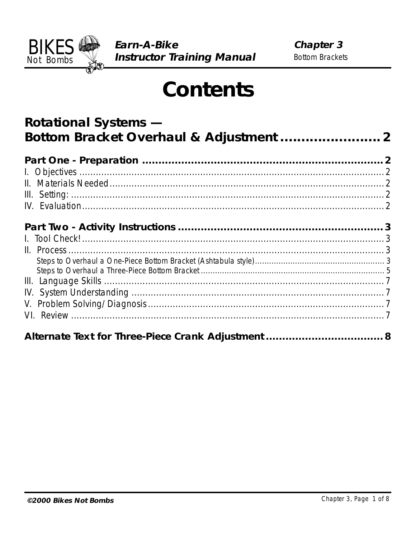

# **Contents**

| <b>Rotational Systems -</b> |  |
|-----------------------------|--|
|                             |  |
|                             |  |
|                             |  |
|                             |  |
|                             |  |
|                             |  |
|                             |  |
|                             |  |
|                             |  |
|                             |  |
|                             |  |
|                             |  |
|                             |  |
|                             |  |
|                             |  |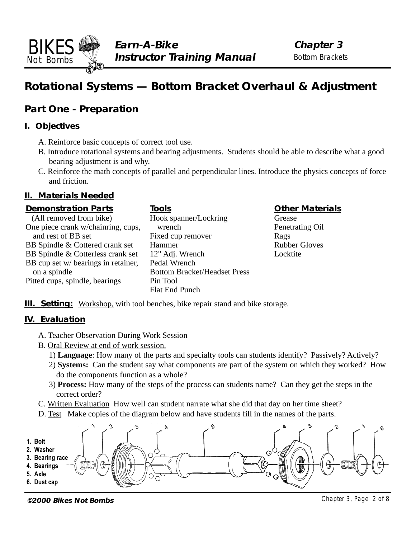## **Rotational Systems — Bottom Bracket Overhaul & Adjustment**

## **Part One - Preparation**

#### **I. Objectives**

<span id="page-1-0"></span>BIKES Not Bombs

- A. Reinforce basic concepts of correct tool use.
- B. Introduce rotational systems and bearing adjustments. Students should be able to describe what a good bearing adjustment is and why.
- C. Reinforce the math concepts of parallel and perpendicular lines. Introduce the physics concepts of force and friction.

#### **II. Materials Needed**

#### **Demonstration Parts**

| (All removed from bike)             | Hook spar                  |
|-------------------------------------|----------------------------|
| One piece crank w/chainring, cups,  | wrench                     |
| and rest of BB set                  | Fixed cup                  |
| BB Spindle & Cottered crank set     | Hammer                     |
| BB Spindle & Cotterless crank set   | $12"$ Adj. V               |
| BB cup set w/ bearings in retainer, | Pedal Wre                  |
| on a spindle                        | <b>Bottom Br</b>           |
| Pitted cups, spindle, bearings      | Pin Tool                   |
|                                     | $\Gamma$ let $\Gamma$ nd D |

#### **Tools**

ner/Lockring remover Vrench  $nch$ racket/Headset Press Flat End Punch

#### **Other Materials**

Grease Penetrating Oil Rags Rubber Gloves Locktite

**III. Setting:** Workshop, with tool benches, bike repair stand and bike storage.

#### **IV. Evaluation**

- A. Teacher Observation During Work Session
- B. Oral Review at end of work session.
	- 1) **Language**: How many of the parts and specialty tools can students identify? Passively? Actively?
	- 2) **Systems:** Can the student say what components are part of the system on which they worked? How do the components function as a whole?
	- 3) **Process:** How many of the steps of the process can students name? Can they get the steps in the correct order?
- C. Written Evaluation How well can student narrate what she did that day on her time sheet?
- D. Test Make copies of the diagram below and have students fill in the names of the parts.



**©2000 Bikes Not Bombs** Chapter 3, Page 2 of 8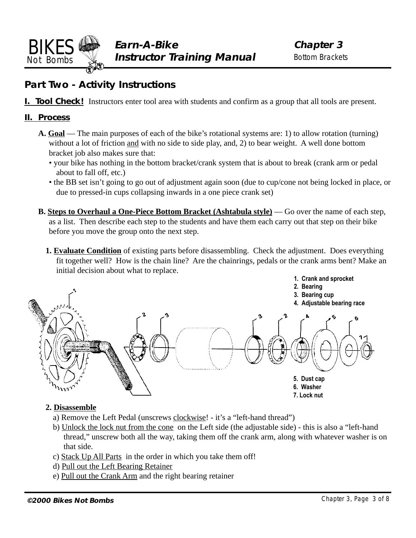<span id="page-2-0"></span>

## **Part Two - Activity Instructions**

**I. Tool Check!** Instructors enter tool area with students and confirm as a group that all tools are present.

#### **II. Process**

- **A. Goal** The main purposes of each of the bike's rotational systems are: 1) to allow rotation (turning) without a lot of friction and with no side to side play, and, 2) to bear weight. A well done bottom bracket job also makes sure that:
	- your bike has nothing in the bottom bracket/crank system that is about to break (crank arm or pedal about to fall off, etc.)
	- the BB set isn't going to go out of adjustment again soon (due to cup/cone not being locked in place, or due to pressed-in cups collapsing inwards in a one piece crank set)
- **B. Steps to Overhaul a One-Piece Bottom Bracket (Ashtabula style)** Go over the name of each step, as a list. Then describe each step to the students and have them each carry out that step on their bike before you move the group onto the next step.
	- **1. Evaluate Condition** of existing parts before disassembling. Check the adjustment. Does everything fit together well? How is the chain line? Are the chainrings, pedals or the crank arms bent? Make an initial decision about what to replace.



#### **2. Disassemble**

- a) Remove the Left Pedal (unscrews clockwise! it's a "left-hand thread")
- b) Unlock the lock nut from the cone on the Left side (the adjustable side) this is also a "left-hand thread," unscrew both all the way, taking them off the crank arm, along with whatever washer is on that side.
- c) Stack Up All Parts in the order in which you take them off!
- d) Pull out the Left Bearing Retainer
- e) Pull out the Crank Arm and the right bearing retainer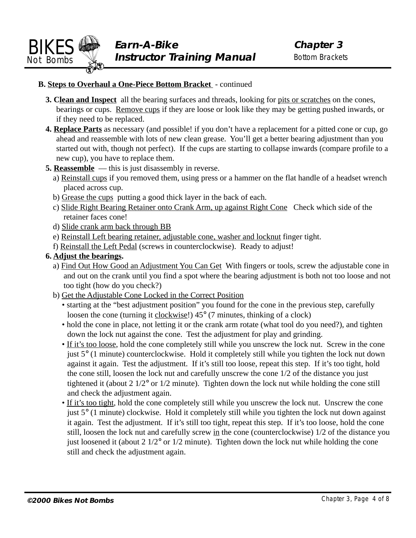#### **B. Steps to Overhaul a One-Piece Bottom Bracket** - continued

- **3. Clean and Inspect** all the bearing surfaces and threads, looking for pits or scratches on the cones, bearings or cups. Remove cups if they are loose or look like they may be getting pushed inwards, or if they need to be replaced.
- **4. Replace Parts** as necessary (and possible! if you don't have a replacement for a pitted cone or cup, go ahead and reassemble with lots of new clean grease. You'll get a better bearing adjustment than you started out with, though not perfect). If the cups are starting to collapse inwards (compare profile to a new cup), you have to replace them.
- **5. Reassemble** this is just disassembly in reverse.
	- a) Reinstall cups if you removed them, using press or a hammer on the flat handle of a headset wrench placed across cup.
	- b) Grease the cups putting a good thick layer in the back of each.
	- c) Slide Right Bearing Retainer onto Crank Arm, up against Right Cone Check which side of the retainer faces cone!
	- d) Slide crank arm back through BB
	- e) Reinstall Left bearing retainer, adjustable cone, washer and locknut finger tight.
	- f) Reinstall the Left Pedal (screws in counterclockwise). Ready to adjust!
- **6. Adjust the bearings.**
	- a) Find Out How Good an Adjustment You Can Get With fingers or tools, screw the adjustable cone in and out on the crank until you find a spot where the bearing adjustment is both not too loose and not too tight (how do you check?)
	- b) Get the Adjustable Cone Locked in the Correct Position
		- starting at the "best adjustment position" you found for the cone in the previous step, carefully loosen the cone (turning it clockwise!) 45° (7 minutes, thinking of a clock)
		- hold the cone in place, not letting it or the crank arm rotate (what tool do you need?), and tighten down the lock nut against the cone. Test the adjustment for play and grinding.
		- If it's too loose, hold the cone completely still while you unscrew the lock nut. Screw in the cone just 5° (1 minute) counterclockwise. Hold it completely still while you tighten the lock nut down against it again. Test the adjustment. If it's still too loose, repeat this step. If it's too tight, hold the cone still, loosen the lock nut and carefully unscrew the cone 1/2 of the distance you just tightened it (about 2 1/2° or 1/2 minute). Tighten down the lock nut while holding the cone still and check the adjustment again.
		- If it's too tight, hold the cone completely still while you unscrew the lock nut. Unscrew the cone just 5° (1 minute) clockwise. Hold it completely still while you tighten the lock nut down against it again. Test the adjustment. If it's still too tight, repeat this step. If it's too loose, hold the cone still, loosen the lock nut and carefully screw in the cone (counterclockwise) 1/2 of the distance you just loosened it (about  $2 \frac{1}{2}$ ° or  $\frac{1}{2}$  minute). Tighten down the lock nut while holding the cone still and check the adjustment again.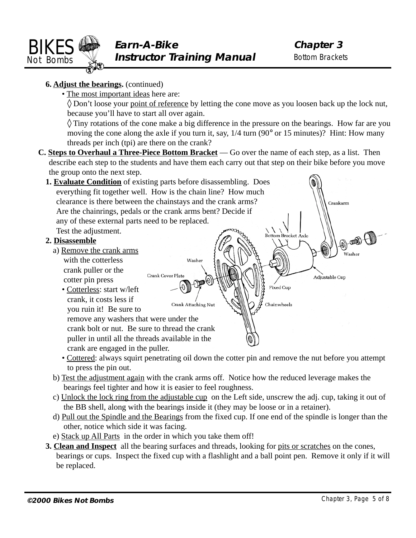<span id="page-4-0"></span>

#### **6. Adjust the bearings.** (continued)

• The most important ideas here are:

 $\Diamond$  Don't loose your point of reference by letting the cone move as you loosen back up the lock nut, because you'll have to start all over again.

 $\Diamond$  Tiny rotations of the cone make a big difference in the pressure on the bearings. How far are you moving the cone along the axle if you turn it, say, 1/4 turn (90° or 15 minutes)? Hint: How many threads per inch (tpi) are there on the crank?

**C. Steps to Overhaul a Three-Piece Bottom Bracket** — Go over the name of each step, as a list. Then describe each step to the students and have them each carry out that step on their bike before you move the group onto the next step.



- Cottered: always squirt penetrating oil down the cotter pin and remove the nut before you attempt to press the pin out.
- b) Test the adjustment again with the crank arms off. Notice how the reduced leverage makes the bearings feel tighter and how it is easier to feel roughness.
- c) Unlock the lock ring from the adjustable cup on the Left side, unscrew the adj. cup, taking it out of the BB shell, along with the bearings inside it (they may be loose or in a retainer).
- d) Pull out the Spindle and the Bearings from the fixed cup. If one end of the spindle is longer than the other, notice which side it was facing.
- e) Stack up All Parts in the order in which you take them off!
- **3. Clean and Inspect** all the bearing surfaces and threads, looking for pits or scratches on the cones, bearings or cups. Inspect the fixed cup with a flashlight and a ball point pen. Remove it only if it will be replaced.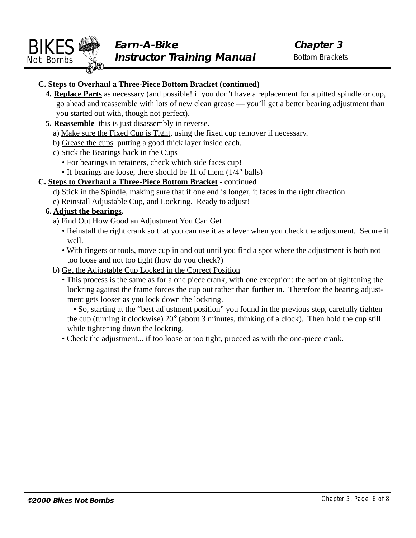#### **C. Steps to Overhaul a Three-Piece Bottom Bracket (continued)**

- **4. Replace Parts** as necessary (and possible! if you don't have a replacement for a pitted spindle or cup, go ahead and reassemble with lots of new clean grease — you'll get a better bearing adjustment than you started out with, though not perfect).
- **5. Reassemble** this is just disassembly in reverse.
	- a) Make sure the Fixed Cup is Tight, using the fixed cup remover if necessary.
	- b) Grease the cups putting a good thick layer inside each.
	- c) Stick the Bearings back in the Cups
		- For bearings in retainers, check which side faces cup!
		- If bearings are loose, there should be 11 of them (1/4" balls)

#### **C. Steps to Overhaul a Three-Piece Bottom Bracket** - continued

- d) Stick in the Spindle, making sure that if one end is longer, it faces in the right direction.
- e) Reinstall Adjustable Cup, and Lockring. Ready to adjust!
- **6. Adjust the bearings.**
	- a) Find Out How Good an Adjustment You Can Get
		- Reinstall the right crank so that you can use it as a lever when you check the adjustment. Secure it well.
		- With fingers or tools, move cup in and out until you find a spot where the adjustment is both not too loose and not too tight (how do you check?)
	- b) Get the Adjustable Cup Locked in the Correct Position
		- This process is the same as for a one piece crank, with <u>one exception</u>: the action of tightening the lockring against the frame forces the cup out rather than further in. Therefore the bearing adjustment gets looser as you lock down the lockring.

• So, starting at the "best adjustment position" you found in the previous step, carefully tighten the cup (turning it clockwise) 20° (about 3 minutes, thinking of a clock). Then hold the cup still while tightening down the lockring.

• Check the adjustment... if too loose or too tight, proceed as with the one-piece crank.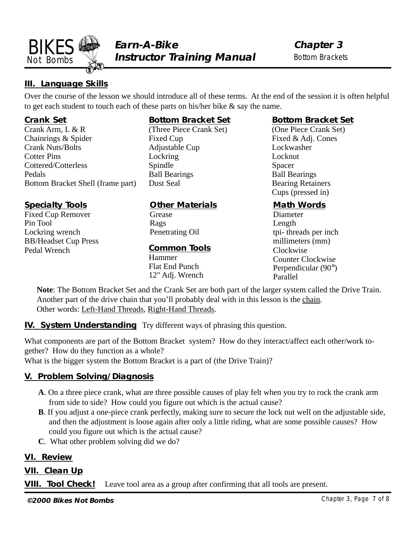<span id="page-6-0"></span>

#### **III. Language Skills**

Over the course of the lesson we should introduce all of these terms. At the end of the session it is often helpful to get each student to touch each of these parts on his/her bike & say the name.

#### **Crank Set**

Crank Arm, L & R Chainrings & Spider Crank Nuts/Bolts Cotter Pins Cottered/Cotterless Pedals Bottom Bracket Shell (frame part)

#### **Specialty Tools**

Fixed Cup Remover Pin Tool Lockring wrench BB/Headset Cup Press Pedal Wrench

#### **Bottom Bracket Set**

(Three Piece Crank Set) Fixed Cup Adjustable Cup Lockring Spindle Ball Bearings Dust Seal

#### **Other Materials**

**Grease** Rags Penetrating Oil

#### **Common Tools**

Hammer Flat End Punch 12" Adj. Wrench

#### **Bottom Bracket Set**

(One Piece Crank Set) Fixed & Adj. Cones Lockwasher Locknut Spacer Ball Bearings Bearing Retainers Cups (pressed in)

#### **Math Words**

Diameter Length tpi- threads per inch millimeters (mm) Clockwise Counter Clockwise Perpendicular (90°) Parallel

**Note**: The Bottom Bracket Set and the Crank Set are both part of the larger system called the Drive Train. Another part of the drive chain that you'll probably deal with in this lesson is the chain. Other words: Left-Hand Threads, Right-Hand Threads.

**IV. System Understanding** Try different ways of phrasing this question.

What components are part of the Bottom Bracket system? How do they interact/affect each other/work together? How do they function as a whole?

What is the bigger system the Bottom Bracket is a part of (the Drive Train)?

#### **V. Problem Solving/Diagnosis**

- **A**. On a three piece crank, what are three possible causes of play felt when you try to rock the crank arm from side to side? How could you figure out which is the actual cause?
- **B**. If you adjust a one-piece crank perfectly, making sure to secure the lock nut well on the adjustable side, and then the adjustment is loose again after only a little riding, what are some possible causes? How could you figure out which is the actual cause?
- **C**. What other problem solving did we do?

#### **VI. Review**

#### **VII. Clean Up**

**VIII. Tool Check!** Leave tool area as a group after confirming that all tools are present.